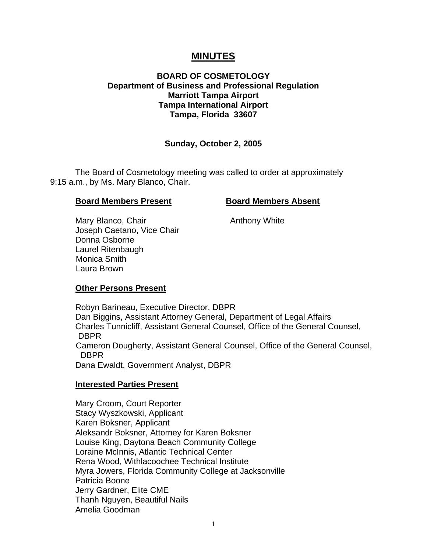# **MINUTES**

# **BOARD OF COSMETOLOGY Department of Business and Professional Regulation Marriott Tampa Airport Tampa International Airport Tampa, Florida 33607**

# **Sunday, October 2, 2005**

 The Board of Cosmetology meeting was called to order at approximately 9:15 a.m., by Ms. Mary Blanco, Chair.

#### **Board Members Present Board Members Absent**

Mary Blanco, Chair **Anthony White**  Joseph Caetano, Vice Chair Donna Osborne Laurel Ritenbaugh Monica Smith Laura Brown

# **Other Persons Present**

 Robyn Barineau, Executive Director, DBPR Dan Biggins, Assistant Attorney General, Department of Legal Affairs Charles Tunnicliff, Assistant General Counsel, Office of the General Counsel, **DBPR**  Cameron Dougherty, Assistant General Counsel, Office of the General Counsel, DBPR Dana Ewaldt, Government Analyst, DBPR

#### **Interested Parties Present**

Mary Croom, Court Reporter Stacy Wyszkowski, Applicant Karen Boksner, Applicant Aleksandr Boksner, Attorney for Karen Boksner Louise King, Daytona Beach Community College Loraine McInnis, Atlantic Technical Center Rena Wood, Withlacoochee Technical Institute Myra Jowers, Florida Community College at Jacksonville Patricia Boone Jerry Gardner, Elite CME Thanh Nguyen, Beautiful Nails Amelia Goodman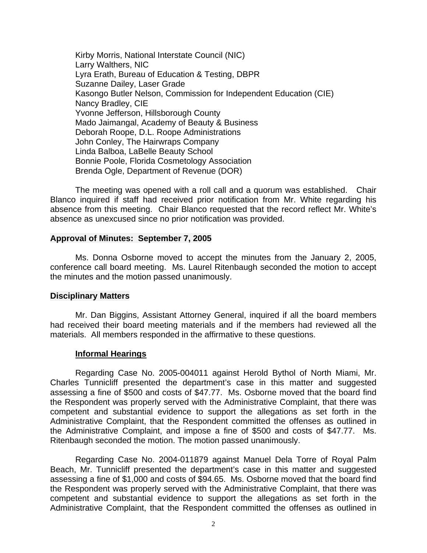Kirby Morris, National Interstate Council (NIC) Larry Walthers, NIC Lyra Erath, Bureau of Education & Testing, DBPR Suzanne Dailey, Laser Grade Kasongo Butler Nelson, Commission for Independent Education (CIE) Nancy Bradley, CIE Yvonne Jefferson, Hillsborough County Mado Jaimangal, Academy of Beauty & Business Deborah Roope, D.L. Roope Administrations John Conley, The Hairwraps Company Linda Balboa, LaBelle Beauty School Bonnie Poole, Florida Cosmetology Association Brenda Ogle, Department of Revenue (DOR)

 The meeting was opened with a roll call and a quorum was established. Chair Blanco inquired if staff had received prior notification from Mr. White regarding his absence from this meeting. Chair Blanco requested that the record reflect Mr. White's absence as unexcused since no prior notification was provided.

#### **Approval of Minutes: September 7, 2005**

Ms. Donna Osborne moved to accept the minutes from the January 2, 2005, conference call board meeting. Ms. Laurel Ritenbaugh seconded the motion to accept the minutes and the motion passed unanimously.

#### **Disciplinary Matters**

Mr. Dan Biggins, Assistant Attorney General, inquired if all the board members had received their board meeting materials and if the members had reviewed all the materials. All members responded in the affirmative to these questions.

#### **Informal Hearings**

Regarding Case No. 2005-004011 against Herold Bythol of North Miami, Mr. Charles Tunnicliff presented the department's case in this matter and suggested assessing a fine of \$500 and costs of \$47.77. Ms. Osborne moved that the board find the Respondent was properly served with the Administrative Complaint, that there was competent and substantial evidence to support the allegations as set forth in the Administrative Complaint, that the Respondent committed the offenses as outlined in the Administrative Complaint, and impose a fine of \$500 and costs of \$47.77. Ms. Ritenbaugh seconded the motion. The motion passed unanimously.

 Regarding Case No. 2004-011879 against Manuel Dela Torre of Royal Palm Beach, Mr. Tunnicliff presented the department's case in this matter and suggested assessing a fine of \$1,000 and costs of \$94.65. Ms. Osborne moved that the board find the Respondent was properly served with the Administrative Complaint, that there was competent and substantial evidence to support the allegations as set forth in the Administrative Complaint, that the Respondent committed the offenses as outlined in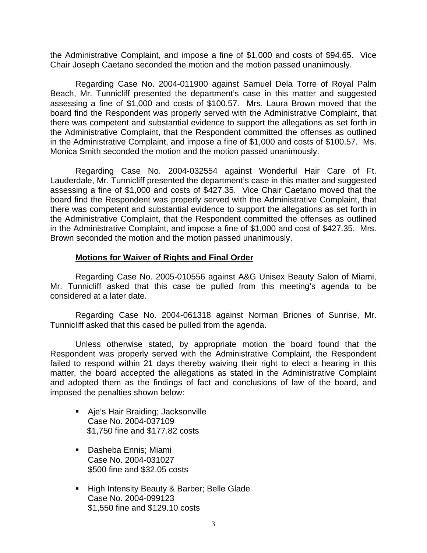the Administrative Complaint, and impose a fine of \$1,000 and costs of \$94.65. Vice Chair Joseph Caetano seconded the motion and the motion passed unanimously.

 Regarding Case No. 2004-011900 against Samuel Dela Torre of Royal Palm Beach, Mr. Tunnicliff presented the department's case in this matter and suggested assessing a fine of \$1,000 and costs of \$100.57. Mrs. Laura Brown moved that the board find the Respondent was properly served with the Administrative Complaint, that there was competent and substantial evidence to support the allegations as set forth in the Administrative Complaint, that the Respondent committed the offenses as outlined in the Administrative Complaint, and impose a fine of \$1,000 and costs of \$100.57. Ms. Monica Smith seconded the motion and the motion passed unanimously.

 Regarding Case No. 2004-032554 against Wonderful Hair Care of Ft. Lauderdale, Mr. Tunnicliff presented the department's case in this matter and suggested assessing a fine of \$1,000 and costs of \$427.35. Vice Chair Caetano moved that the board find the Respondent was properly served with the Administrative Complaint, that there was competent and substantial evidence to support the allegations as set forth in the Administrative Complaint, that the Respondent committed the offenses as outlined in the Administrative Complaint, and impose a fine of \$1,000 and cost of \$427.35. Mrs. Brown seconded the motion and the motion passed unanimously.

## **Motions for Waiver of Rights and Final Order**

 Regarding Case No. 2005-010556 against A&G Unisex Beauty Salon of Miami, Mr. Tunnicliff asked that this case be pulled from this meeting's agenda to be considered at a later date.

 Regarding Case No. 2004-061318 against Norman Briones of Sunrise, Mr. Tunnicliff asked that this cased be pulled from the agenda.

 Unless otherwise stated, by appropriate motion the board found that the Respondent was properly served with the Administrative Complaint, the Respondent failed to respond within 21 days thereby waiving their right to elect a hearing in this matter, the board accepted the allegations as stated in the Administrative Complaint and adopted them as the findings of fact and conclusions of law of the board, and imposed the penalties shown below:

- **Aje's Hair Braiding; Jacksonville** Case No. 2004-037109 \$1,750 fine and \$177.82 costs
- **Dasheba Ennis; Miami** Case No. 2004-031027 \$500 fine and \$32.05 costs
- **High Intensity Beauty & Barber; Belle Glade** Case No. 2004-099123 \$1,550 fine and \$129.10 costs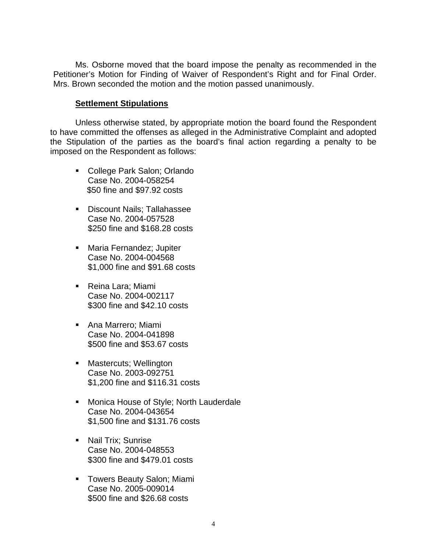Ms. Osborne moved that the board impose the penalty as recommended in the Petitioner's Motion for Finding of Waiver of Respondent's Right and for Final Order. Mrs. Brown seconded the motion and the motion passed unanimously.

## **Settlement Stipulations**

 Unless otherwise stated, by appropriate motion the board found the Respondent to have committed the offenses as alleged in the Administrative Complaint and adopted the Stipulation of the parties as the board's final action regarding a penalty to be imposed on the Respondent as follows:

- College Park Salon; Orlando Case No. 2004-058254 \$50 fine and \$97.92 costs
- **Discount Nails; Tallahassee** Case No. 2004-057528 \$250 fine and \$168.28 costs
- Maria Fernandez; Jupiter Case No. 2004-004568 \$1,000 fine and \$91.68 costs
- Reina Lara; Miami Case No. 2004-002117 \$300 fine and \$42.10 costs
- **Ana Marrero; Miami** Case No. 2004-041898 \$500 fine and \$53.67 costs
- **Nastercuts; Wellington** Case No. 2003-092751 \$1,200 fine and \$116.31 costs
- **Monica House of Style; North Lauderdale** Case No. 2004-043654 \$1,500 fine and \$131.76 costs
- Nail Trix; Sunrise Case No. 2004-048553 \$300 fine and \$479.01 costs
- **Towers Beauty Salon; Miami** Case No. 2005-009014 \$500 fine and \$26.68 costs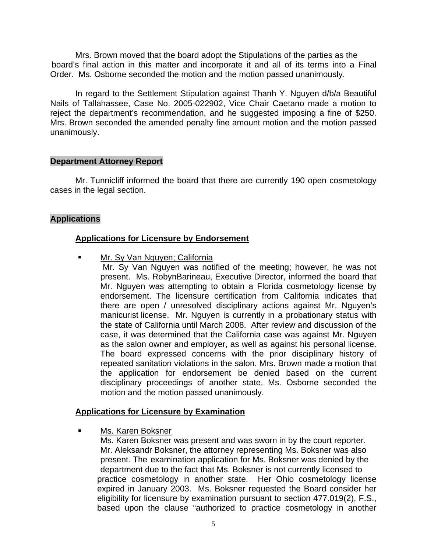Mrs. Brown moved that the board adopt the Stipulations of the parties as the board's final action in this matter and incorporate it and all of its terms into a Final Order. Ms. Osborne seconded the motion and the motion passed unanimously.

 In regard to the Settlement Stipulation against Thanh Y. Nguyen d/b/a Beautiful Nails of Tallahassee, Case No. 2005-022902, Vice Chair Caetano made a motion to reject the department's recommendation, and he suggested imposing a fine of \$250. Mrs. Brown seconded the amended penalty fine amount motion and the motion passed unanimously.

#### **Department Attorney Report**

Mr. Tunnicliff informed the board that there are currently 190 open cosmetology cases in the legal section.

# **Applications**

# **Applications for Licensure by Endorsement**

Mr. Sy Van Nguyen; California

 Mr. Sy Van Nguyen was notified of the meeting; however, he was not present. Ms. RobynBarineau, Executive Director, informed the board that Mr. Nguyen was attempting to obtain a Florida cosmetology license by endorsement. The licensure certification from California indicates that there are open / unresolved disciplinary actions against Mr. Nguyen's manicurist license. Mr. Nguyen is currently in a probationary status with the state of California until March 2008. After review and discussion of the case, it was determined that the California case was against Mr. Nguyen as the salon owner and employer, as well as against his personal license. The board expressed concerns with the prior disciplinary history of repeated sanitation violations in the salon. Mrs. Brown made a motion that the application for endorsement be denied based on the current disciplinary proceedings of another state. Ms. Osborne seconded the motion and the motion passed unanimously.

# **Applications for Licensure by Examination**

Ms. Karen Boksner

 Ms. Karen Boksner was present and was sworn in by the court reporter. Mr. Aleksandr Boksner, the attorney representing Ms. Boksner was also present. The examination application for Ms. Boksner was denied by the department due to the fact that Ms. Boksner is not currently licensed to practice cosmetology in another state. Her Ohio cosmetology license expired in January 2003. Ms. Boksner requested the Board consider her eligibility for licensure by examination pursuant to section 477.019(2), F.S., based upon the clause "authorized to practice cosmetology in another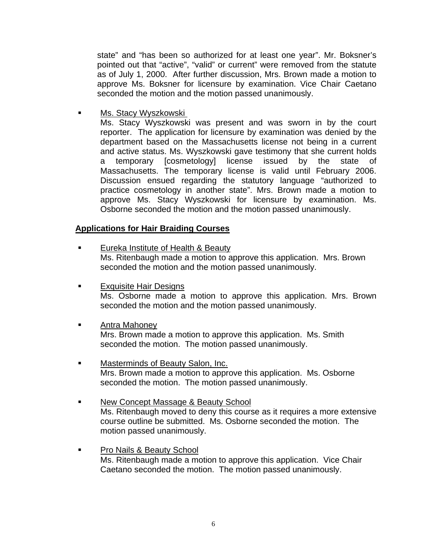state" and "has been so authorized for at least one year". Mr. Boksner's pointed out that "active", "valid" or current" were removed from the statute as of July 1, 2000. After further discussion, Mrs. Brown made a motion to approve Ms. Boksner for licensure by examination. Vice Chair Caetano seconded the motion and the motion passed unanimously.

Ms. Stacy Wyszkowski

 Ms. Stacy Wyszkowski was present and was sworn in by the court reporter. The application for licensure by examination was denied by the department based on the Massachusetts license not being in a current and active status. Ms. Wyszkowski gave testimony that she current holds a temporary [cosmetology] license issued by the state of Massachusetts. The temporary license is valid until February 2006. Discussion ensued regarding the statutory language "authorized to practice cosmetology in another state". Mrs. Brown made a motion to approve Ms. Stacy Wyszkowski for licensure by examination. Ms. Osborne seconded the motion and the motion passed unanimously.

# **Applications for Hair Braiding Courses**

- Eureka Institute of Health & Beauty Ms. Ritenbaugh made a motion to approve this application. Mrs. Brown seconded the motion and the motion passed unanimously.
- **Exquisite Hair Designs**  Ms. Osborne made a motion to approve this application. Mrs. Brown seconded the motion and the motion passed unanimously.
- Antra Mahoney

 Mrs. Brown made a motion to approve this application. Ms. Smith seconded the motion. The motion passed unanimously.

- Masterminds of Beauty Salon, Inc. Mrs. Brown made a motion to approve this application. Ms. Osborne seconded the motion. The motion passed unanimously.
- New Concept Massage & Beauty School Ms. Ritenbaugh moved to deny this course as it requires a more extensive course outline be submitted. Ms. Osborne seconded the motion. The motion passed unanimously.
- Pro Nails & Beauty School Ms. Ritenbaugh made a motion to approve this application. Vice Chair Caetano seconded the motion. The motion passed unanimously.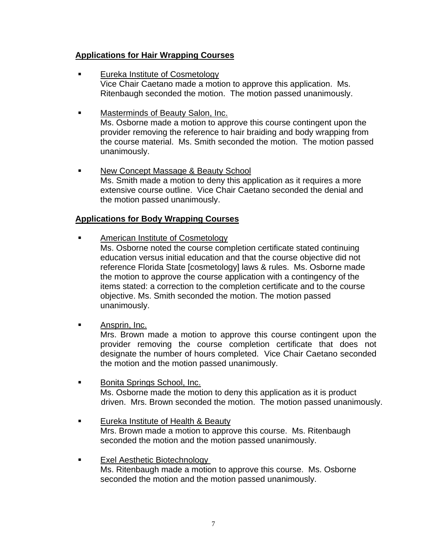# **Applications for Hair Wrapping Courses**

- Eureka Institute of Cosmetology Vice Chair Caetano made a motion to approve this application. Ms. Ritenbaugh seconded the motion. The motion passed unanimously.
- Masterminds of Beauty Salon, Inc. Ms. Osborne made a motion to approve this course contingent upon the provider removing the reference to hair braiding and body wrapping from the course material. Ms. Smith seconded the motion. The motion passed unanimously.
- **New Concept Massage & Beauty School**  Ms. Smith made a motion to deny this application as it requires a more extensive course outline. Vice Chair Caetano seconded the denial and the motion passed unanimously.

# **Applications for Body Wrapping Courses**

- American Institute of Cosmetology Ms. Osborne noted the course completion certificate stated continuing education versus initial education and that the course objective did not reference Florida State [cosmetology] laws & rules. Ms. Osborne made the motion to approve the course application with a contingency of the items stated: a correction to the completion certificate and to the course objective. Ms. Smith seconded the motion. The motion passed unanimously.
- Ansprin, Inc.

Mrs. Brown made a motion to approve this course contingent upon the provider removing the course completion certificate that does not designate the number of hours completed. Vice Chair Caetano seconded the motion and the motion passed unanimously.

- **Bonita Springs School, Inc.**  Ms. Osborne made the motion to deny this application as it is product driven. Mrs. Brown seconded the motion. The motion passed unanimously.
- Eureka Institute of Health & Beauty Mrs. Brown made a motion to approve this course. Ms. Ritenbaugh seconded the motion and the motion passed unanimously.
- Exel Aesthetic Biotechnology Ms. Ritenbaugh made a motion to approve this course. Ms. Osborne seconded the motion and the motion passed unanimously.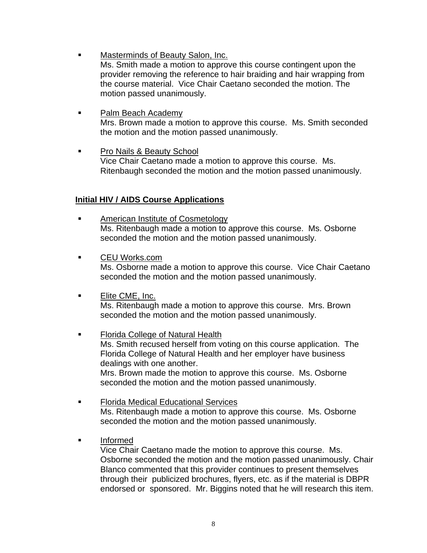- Masterminds of Beauty Salon, Inc. Ms. Smith made a motion to approve this course contingent upon the provider removing the reference to hair braiding and hair wrapping from the course material. Vice Chair Caetano seconded the motion. The motion passed unanimously.
- Palm Beach Academy Mrs. Brown made a motion to approve this course. Ms. Smith seconded the motion and the motion passed unanimously.
- Pro Nails & Beauty School Vice Chair Caetano made a motion to approve this course. Ms. Ritenbaugh seconded the motion and the motion passed unanimously.

# **Initial HIV / AIDS Course Applications**

- **American Institute of Cosmetology**  Ms. Ritenbaugh made a motion to approve this course. Ms. Osborne seconded the motion and the motion passed unanimously.
- CEU Works.com Ms. Osborne made a motion to approve this course. Vice Chair Caetano seconded the motion and the motion passed unanimously.
- **Elite CME, Inc.**  Ms. Ritenbaugh made a motion to approve this course. Mrs. Brown seconded the motion and the motion passed unanimously.
- Florida College of Natural Health Ms. Smith recused herself from voting on this course application. The Florida College of Natural Health and her employer have business dealings with one another. Mrs. Brown made the motion to approve this course. Ms. Osborne seconded the motion and the motion passed unanimously.
- Florida Medical Educational Services Ms. Ritenbaugh made a motion to approve this course. Ms. Osborne seconded the motion and the motion passed unanimously.
- Informed

 Vice Chair Caetano made the motion to approve this course. Ms. Osborne seconded the motion and the motion passed unanimously. Chair Blanco commented that this provider continues to present themselves through their publicized brochures, flyers, etc. as if the material is DBPR endorsed or sponsored. Mr. Biggins noted that he will research this item.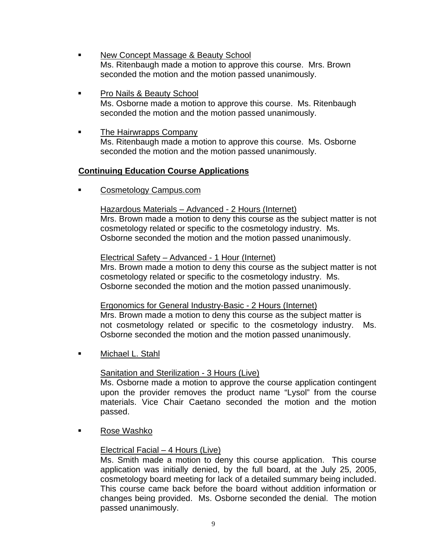- New Concept Massage & Beauty School Ms. Ritenbaugh made a motion to approve this course. Mrs. Brown seconded the motion and the motion passed unanimously.
- **Pro Nails & Beauty School**  Ms. Osborne made a motion to approve this course. Ms. Ritenbaugh seconded the motion and the motion passed unanimously.
- **The Hairwrapps Company**  Ms. Ritenbaugh made a motion to approve this course. Ms. Osborne seconded the motion and the motion passed unanimously.

# **Continuing Education Course Applications**

Cosmetology Campus.com

# Hazardous Materials – Advanced - 2 Hours (Internet) Mrs. Brown made a motion to deny this course as the subject matter is not

 cosmetology related or specific to the cosmetology industry. Ms. Osborne seconded the motion and the motion passed unanimously.

# Electrical Safety – Advanced - 1 Hour (Internet)

 Mrs. Brown made a motion to deny this course as the subject matter is not cosmetology related or specific to the cosmetology industry. Ms. Osborne seconded the motion and the motion passed unanimously.

# Ergonomics for General Industry-Basic - 2 Hours (Internet)

Mrs. Brown made a motion to deny this course as the subject matter is not cosmetology related or specific to the cosmetology industry. Ms. Osborne seconded the motion and the motion passed unanimously.

**Nichael L. Stahl** 

# Sanitation and Sterilization - 3 Hours (Live)

Ms. Osborne made a motion to approve the course application contingent upon the provider removes the product name "Lysol" from the course materials. Vice Chair Caetano seconded the motion and the motion passed.

Rose Washko

# Electrical Facial – 4 Hours (Live)

Ms. Smith made a motion to deny this course application. This course application was initially denied, by the full board, at the July 25, 2005, cosmetology board meeting for lack of a detailed summary being included. This course came back before the board without addition information or changes being provided. Ms. Osborne seconded the denial. The motion passed unanimously.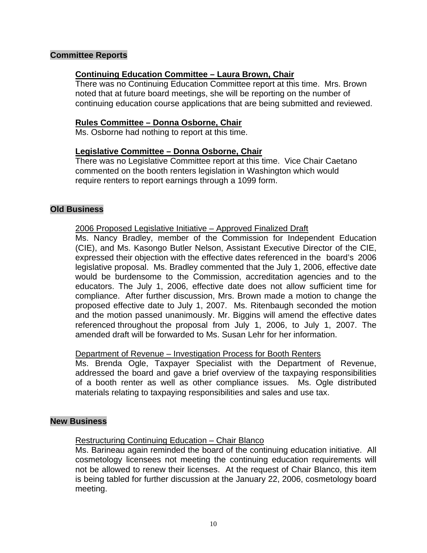# **Committee Reports**

## **Continuing Education Committee – Laura Brown, Chair**

There was no Continuing Education Committee report at this time. Mrs. Brown noted that at future board meetings, she will be reporting on the number of continuing education course applications that are being submitted and reviewed.

#### **Rules Committee – Donna Osborne, Chair**

Ms. Osborne had nothing to report at this time.

## **Legislative Committee – Donna Osborne, Chair**

 There was no Legislative Committee report at this time. Vice Chair Caetano commented on the booth renters legislation in Washington which would require renters to report earnings through a 1099 form.

## **Old Business**

#### 2006 Proposed Legislative Initiative – Approved Finalized Draft

 Ms. Nancy Bradley, member of the Commission for Independent Education (CIE), and Ms. Kasongo Butler Nelson, Assistant Executive Director of the CIE, expressed their objection with the effective dates referenced in the board's 2006 legislative proposal. Ms. Bradley commented that the July 1, 2006, effective date would be burdensome to the Commission, accreditation agencies and to the educators. The July 1, 2006, effective date does not allow sufficient time for compliance. After further discussion, Mrs. Brown made a motion to change the proposed effective date to July 1, 2007. Ms. Ritenbaugh seconded the motion and the motion passed unanimously. Mr. Biggins will amend the effective dates referenced throughout the proposal from July 1, 2006, to July 1, 2007. The amended draft will be forwarded to Ms. Susan Lehr for her information.

#### Department of Revenue – Investigation Process for Booth Renters

 Ms. Brenda Ogle, Taxpayer Specialist with the Department of Revenue, addressed the board and gave a brief overview of the taxpaying responsibilities of a booth renter as well as other compliance issues. Ms. Ogle distributed materials relating to taxpaying responsibilities and sales and use tax.

#### **New Business**

#### Restructuring Continuing Education – Chair Blanco

 Ms. Barineau again reminded the board of the continuing education initiative. All cosmetology licensees not meeting the continuing education requirements will not be allowed to renew their licenses. At the request of Chair Blanco, this item is being tabled for further discussion at the January 22, 2006, cosmetology board meeting.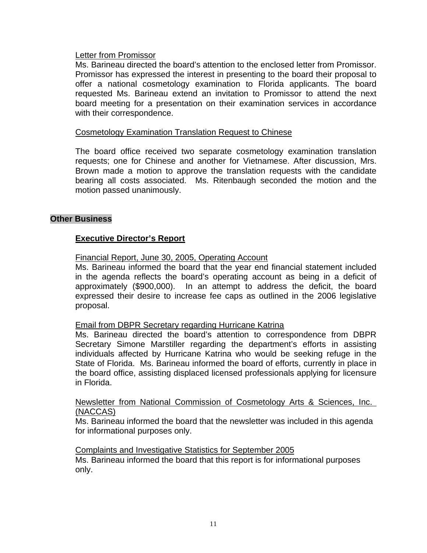# Letter from Promissor

 Ms. Barineau directed the board's attention to the enclosed letter from Promissor. Promissor has expressed the interest in presenting to the board their proposal to offer a national cosmetology examination to Florida applicants. The board requested Ms. Barineau extend an invitation to Promissor to attend the next board meeting for a presentation on their examination services in accordance with their correspondence.

#### Cosmetology Examination Translation Request to Chinese

 The board office received two separate cosmetology examination translation requests; one for Chinese and another for Vietnamese. After discussion, Mrs. Brown made a motion to approve the translation requests with the candidate bearing all costs associated. Ms. Ritenbaugh seconded the motion and the motion passed unanimously.

#### **Other Business**

# **Executive Director's Report**

Financial Report, June 30, 2005, Operating Account

 Ms. Barineau informed the board that the year end financial statement included in the agenda reflects the board's operating account as being in a deficit of approximately (\$900,000). In an attempt to address the deficit, the board expressed their desire to increase fee caps as outlined in the 2006 legislative proposal.

#### Email from DBPR Secretary regarding Hurricane Katrina

 Ms. Barineau directed the board's attention to correspondence from DBPR Secretary Simone Marstiller regarding the department's efforts in assisting individuals affected by Hurricane Katrina who would be seeking refuge in the State of Florida. Ms. Barineau informed the board of efforts, currently in place in the board office, assisting displaced licensed professionals applying for licensure in Florida.

## Newsletter from National Commission of Cosmetology Arts & Sciences, Inc. (NACCAS)

 Ms. Barineau informed the board that the newsletter was included in this agenda for informational purposes only.

Complaints and Investigative Statistics for September 2005 Ms. Barineau informed the board that this report is for informational purposes only.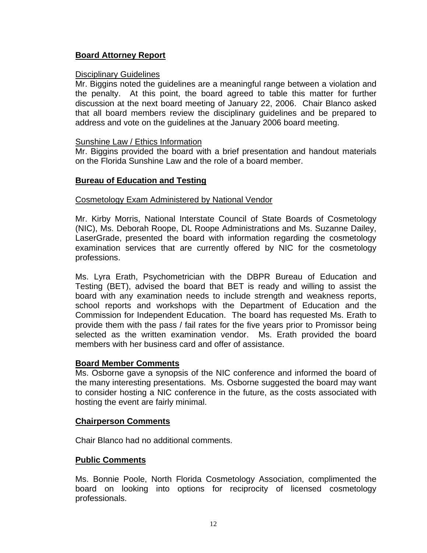# **Board Attorney Report**

## Disciplinary Guidelines

Mr. Biggins noted the guidelines are a meaningful range between a violation and the penalty. At this point, the board agreed to table this matter for further discussion at the next board meeting of January 22, 2006. Chair Blanco asked that all board members review the disciplinary guidelines and be prepared to address and vote on the guidelines at the January 2006 board meeting.

## Sunshine Law / Ethics Information

 Mr. Biggins provided the board with a brief presentation and handout materials on the Florida Sunshine Law and the role of a board member.

# **Bureau of Education and Testing**

#### Cosmetology Exam Administered by National Vendor

 Mr. Kirby Morris, National Interstate Council of State Boards of Cosmetology (NIC), Ms. Deborah Roope, DL Roope Administrations and Ms. Suzanne Dailey, LaserGrade, presented the board with information regarding the cosmetology examination services that are currently offered by NIC for the cosmetology professions.

 Ms. Lyra Erath, Psychometrician with the DBPR Bureau of Education and Testing (BET), advised the board that BET is ready and willing to assist the board with any examination needs to include strength and weakness reports, school reports and workshops with the Department of Education and the Commission for Independent Education. The board has requested Ms. Erath to provide them with the pass / fail rates for the five years prior to Promissor being selected as the written examination vendor. Ms. Erath provided the board members with her business card and offer of assistance.

#### **Board Member Comments**

Ms. Osborne gave a synopsis of the NIC conference and informed the board of the many interesting presentations. Ms. Osborne suggested the board may want to consider hosting a NIC conference in the future, as the costs associated with hosting the event are fairly minimal.

#### **Chairperson Comments**

Chair Blanco had no additional comments.

# **Public Comments**

Ms. Bonnie Poole, North Florida Cosmetology Association, complimented the board on looking into options for reciprocity of licensed cosmetology professionals.